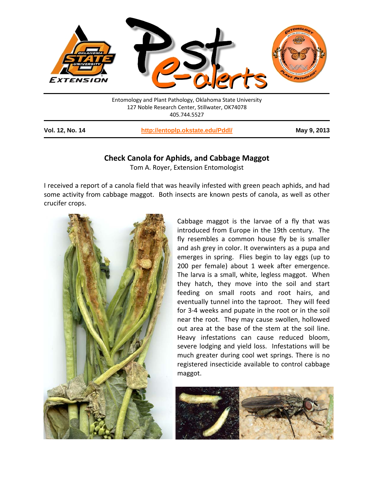

| Vol. 12, No. 14 | http://entoplp.okstate.edu/Pddl/ | May 9, 2013 |
|-----------------|----------------------------------|-------------|
|-----------------|----------------------------------|-------------|

## **Check Canola for Aphids, and Cabbage Maggot**

Tom A. Royer, Extension Entomologist

I received a report of a canola field that was heavily infested with green peach aphids, and had some activity from cabbage maggot. Both insects are known pests of canola, as well as other crucifer crops.



Cabbage maggot is the larvae of a fly that was introduced from Europe in the 19th century. The fly resembles a common house fly be is smaller and ash grey in color. It overwinters as a pupa and emerges in spring. Flies begin to lay eggs (up to 200 per female) about 1 week after emergence. The larva is a small, white, legless maggot. When they hatch, they move into the soil and start feeding on small roots and root hairs, and eventually tunnel into the taproot. They will feed for 3-4 weeks and pupate in the root or in the soil near the root. They may cause swollen, hollowed out area at the base of the stem at the soil line. Heavy infestations can cause reduced bloom, severe lodging and yield loss. Infestations will be much greater during cool wet springs. There is no registered insecticide available to control cabbage maggot.

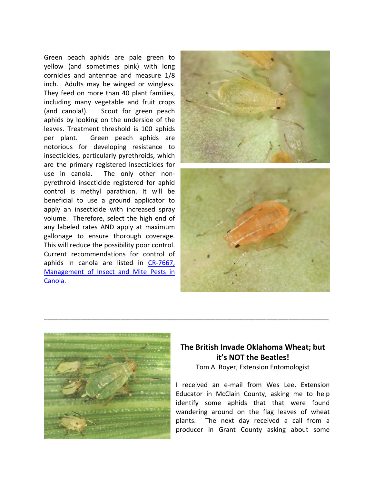Green peach aphids are pale green to yellow (and sometimes pink) with long cornicles and antennae and measure 1/8 inch. Adults may be winged or wingless. They feed on more than 40 plant families, including many vegetable and fruit crops (and canola!). Scout for green peach aphids by looking on the underside of the leaves. Treatment threshold is 100 aphids per plant. Green peach aphids are notorious for developing resistance to insecticides, particularly pyrethroids, which are the primary registered insecticides for use in canola. The only other nonpyrethroid insecticide registered for aphid control is methyl parathion. It will be beneficial to use a ground applicator to apply an insecticide with increased spray volume. Therefore, select the high end of any labeled rates AND apply at maximum gallonage to ensure thorough coverage. This will reduce the possibility poor control. Current recommendations for control of aphids in canola are listed in [CR-7667,](http://pods.dasnr.okstate.edu/docushare/dsweb/Get/Document-3045/CR-7667web2011.pdf)  [Management of Insect and Mite Pests in](http://pods.dasnr.okstate.edu/docushare/dsweb/Get/Document-3045/CR-7667web2011.pdf)  [Canola.](http://pods.dasnr.okstate.edu/docushare/dsweb/Get/Document-3045/CR-7667web2011.pdf)





## **The British Invade Oklahoma Wheat; but it's NOT the Beatles!**

\_\_\_\_\_\_\_\_\_\_\_\_\_\_\_\_\_\_\_\_\_\_\_\_\_\_\_\_\_\_\_\_\_\_\_\_\_\_\_\_\_\_\_\_\_\_\_\_\_\_\_\_\_\_\_\_\_\_\_\_\_\_\_\_\_\_\_\_\_\_\_\_\_\_\_\_\_\_

Tom A. Royer, Extension Entomologist

I received an e-mail from Wes Lee, Extension Educator in McClain County, asking me to help identify some aphids that that were found wandering around on the flag leaves of wheat plants. The next day received a call from a producer in Grant County asking about some